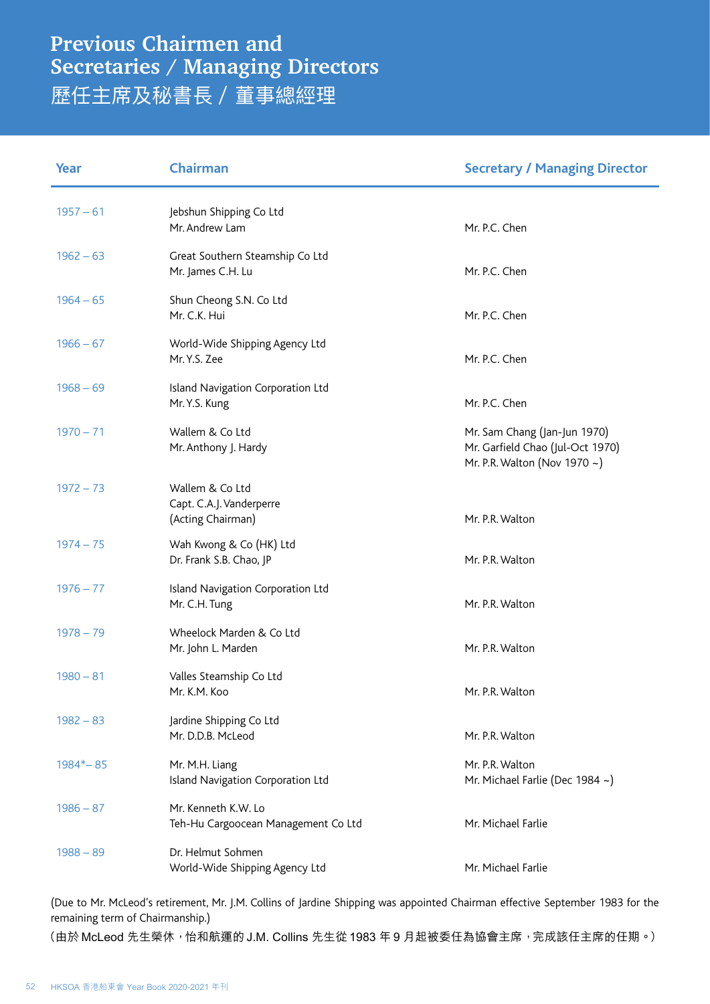## **Previous Chairmen and Secretaries / Managing Directors** 歷任主席及秘書長 / 董事總經理

| Year        | Chairman                                                         | <b>Secretary / Managing Director</b>                                                             |
|-------------|------------------------------------------------------------------|--------------------------------------------------------------------------------------------------|
| $1957 - 61$ | Jebshun Shipping Co Ltd<br>Mr. Andrew Lam                        | Mr. P.C. Chen                                                                                    |
| $1962 - 63$ | Great Southern Steamship Co Ltd<br>Mr. James C.H. Lu             | Mr. P.C. Chen                                                                                    |
| $1964 - 65$ | Shun Cheong S.N. Co Ltd<br>Mr. C.K. Hui                          | Mr. P.C. Chen                                                                                    |
| $1966 - 67$ | World-Wide Shipping Agency Ltd<br>Mr. Y.S. Zee                   | Mr. P.C. Chen                                                                                    |
| $1968 - 69$ | Island Navigation Corporation Ltd<br>Mr. Y.S. Kung               | Mr. P.C. Chen                                                                                    |
| $1970 - 71$ | Wallem & Co Ltd<br>Mr. Anthony J. Hardy                          | Mr. Sam Chang (Jan-Jun 1970)<br>Mr. Garfield Chao (Jul-Oct 1970)<br>Mr. P.R. Walton (Nov 1970 ~) |
| $1972 - 73$ | Wallem & Co Ltd<br>Capt. C.A.J. Vanderperre<br>(Acting Chairman) | Mr. P.R. Walton                                                                                  |
| $1974 - 75$ | Wah Kwong & Co (HK) Ltd<br>Dr. Frank S.B. Chao, JP               | Mr. P.R. Walton                                                                                  |
| $1976 - 77$ | Island Navigation Corporation Ltd<br>Mr. C.H. Tung               | Mr. P.R. Walton                                                                                  |
| $1978 - 79$ | Wheelock Marden & Co Ltd<br>Mr. John L. Marden                   | Mr. P.R. Walton                                                                                  |
| $1980 - 81$ | Valles Steamship Co Ltd<br>Mr. K.M. Koo                          | Mr. P.R. Walton                                                                                  |
| $1982 - 83$ | Jardine Shipping Co Ltd<br>Mr. D.D.B. McLeod                     | Mr. P.R. Walton                                                                                  |
| $1984 - 85$ | Mr. M.H. Liang<br>Island Navigation Corporation Ltd              | Mr. P.R. Walton<br>Mr. Michael Farlie (Dec 1984 ~)                                               |
| $1986 - 87$ | Mr. Kenneth K.W. Lo<br>Teh-Hu Cargoocean Management Co Ltd       | Mr. Michael Farlie                                                                               |
| $1988 - 89$ | Dr. Helmut Sohmen<br>World-Wide Shipping Agency Ltd              | Mr. Michael Farlie                                                                               |

(Due to Mr. McLeod's retirement, Mr. J.M. Collins of Jardine Shipping was appointed Chairman effective September 1983 for the remaining term of Chairmanship.)

(由於 McLeod 先生榮休, 怡和航運的 J.M. Collins 先生從 1983 年 9 月起被委任為協會主席, 完成該任主席的任期。)